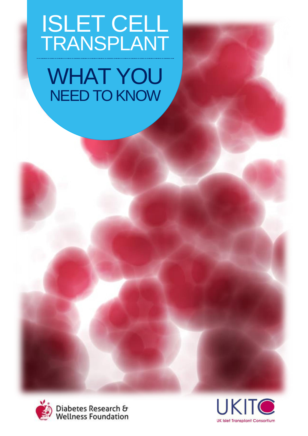# ISLET CELL TRANSPLANT WHAT YOU NEED TO KNOW



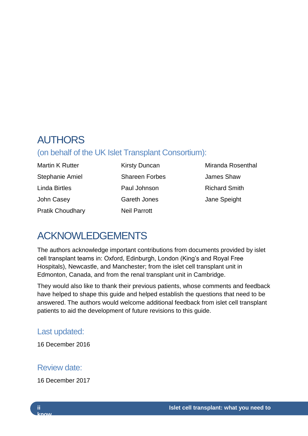# AUTHORS

# (on behalf of the UK Islet Transplant Consortium):

Martin K Rutter Stephanie Amiel Linda Birtles John Casey Pratik Choudhary

Kirsty Duncan Shareen Forbes Paul Johnson Gareth Jones Neil Parrott

Miranda Rosenthal James Shaw Richard Smith Jane Speight

# ACKNOWLEDGEMENTS

The authors acknowledge important contributions from documents provided by islet cell transplant teams in: Oxford, Edinburgh, London (King's and Royal Free Hospitals), Newcastle, and Manchester; from the islet cell transplant unit in Edmonton, Canada, and from the renal transplant unit in Cambridge.

They would also like to thank their previous patients, whose comments and feedback have helped to shape this guide and helped establish the questions that need to be answered. The authors would welcome additional feedback from islet cell transplant patients to aid the development of future revisions to this guide.

# Last updated:

16 December 2016

# Review date:

16 December 2017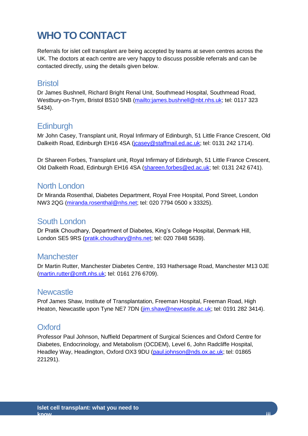# <span id="page-2-0"></span>**WHO TO CONTACT**

Referrals for islet cell transplant are being accepted by teams at seven centres across the UK. The doctors at each centre are very happy to discuss possible referrals and can be contacted directly, using the details given below.

## **Bristol**

Dr James Bushnell, Richard Bright Renal Unit, Southmead Hospital, Southmead Road, Westbury-on-Trym, Bristol BS10 5NB [\(mailto:james.bushnell@nbt.nhs.uk;](mailto:) tel: 0117 323 5434).

# **Edinburgh**

Mr John Casey, Transplant unit, Royal Infirmary of Edinburgh, 51 Little France Crescent, Old Dalkeith Road, Edinburgh EH16 4SA [\(jcasey@staffmail.ed.ac.uk;](mailto:jcasey@staffmail.ed.ac.uk) tel: 0131 242 1714).

Dr Shareen Forbes, Transplant unit, Royal Infirmary of Edinburgh, 51 Little France Crescent, Old Dalkeith Road, Edinburgh EH16 4SA [\(shareen.forbes@ed.ac.uk;](mailto:shareen.forbes@ed.ac.uk) tel: 0131 242 6741).

## North London

Dr Miranda Rosenthal, Diabetes Department, Royal Free Hospital, Pond Street, London NW3 2QG [\(miranda.rosenthal@nhs.net;](mailto:miranda.rosenthal@nhs.net) tel: 020 7794 0500 x 33325).

# South London

Dr Pratik Choudhary, Department of Diabetes, King's College Hospital, Denmark Hill, London SE5 9RS [\(pratik.choudhary@nhs.net;](mailto:pratik.choudhary@nhs.net) tel: 020 7848 5639).

#### **Manchester**

Dr Martin Rutter, Manchester Diabetes Centre, 193 Hathersage Road, Manchester M13 0JE [\(martin.rutter@cmft.nhs.uk;](mailto:martin.rutter@cmft.nhs.uk) tel: 0161 276 6709).

#### **Newcastle**

Prof James Shaw, Institute of Transplantation, Freeman Hospital, Freeman Road, High Heaton, Newcastle upon Tyne NE7 7DN [\(jim.shaw@newcastle.ac.uk;](mailto:jim.shaw@newcastle.ac.uk) tel: 0191 282 3414).

# **Oxford**

Professor Paul Johnson, Nuffield Department of Surgical Sciences and Oxford Centre for Diabetes, Endocrinology, and Metabolism (OCDEM), Level 6, John Radcliffe Hospital, Headley Way, Headington, Oxford OX3 9DU [\(paul.johnson@nds.ox.ac.uk;](mailto:paul.johnson@nds.ox.ac.uk) tel: 01865 221291).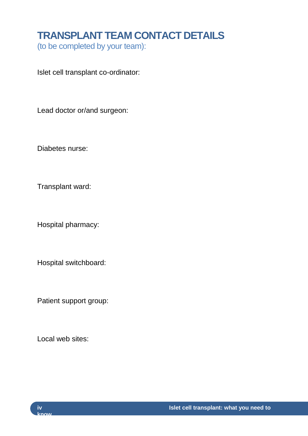# <span id="page-3-0"></span>**TRANSPLANT TEAM CONTACT DETAILS**

(to be completed by your team):

Islet cell transplant co-ordinator:

Lead doctor or/and surgeon:

Diabetes nurse:

Transplant ward:

Hospital pharmacy:

Hospital switchboard:

Patient support group:

Local web sites:

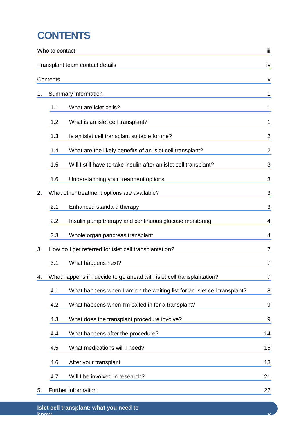# <span id="page-4-0"></span>**CONTENTS**

| Who to contact |                                                                       |                                                                          | iii            |
|----------------|-----------------------------------------------------------------------|--------------------------------------------------------------------------|----------------|
|                |                                                                       | Transplant team contact details                                          | İV             |
| Contents       |                                                                       |                                                                          |                |
| 1.             |                                                                       | Summary information                                                      | 1              |
|                | 1.1                                                                   | What are islet cells?                                                    | 1              |
|                | 1.2                                                                   | What is an islet cell transplant?                                        | 1              |
|                | 1.3                                                                   | Is an islet cell transplant suitable for me?                             | 2              |
|                | 1.4                                                                   | What are the likely benefits of an islet cell transplant?                | $\overline{2}$ |
|                | 1.5                                                                   | Will I still have to take insulin after an islet cell transplant?        | 3              |
|                | 1.6                                                                   | Understanding your treatment options                                     | 3              |
| 2.             |                                                                       | What other treatment options are available?                              | 3              |
|                | 2.1                                                                   | Enhanced standard therapy                                                | 3              |
|                | 2.2                                                                   | Insulin pump therapy and continuous glucose monitoring                   | 4              |
|                | 2.3                                                                   | Whole organ pancreas transplant                                          | 4              |
| 3.             |                                                                       | How do I get referred for islet cell transplantation?                    | $\overline{7}$ |
|                | 3.1                                                                   | What happens next?                                                       | 7              |
| 4.             | What happens if I decide to go ahead with islet cell transplantation? |                                                                          |                |
|                | 4.1                                                                   | What happens when I am on the waiting list for an islet cell transplant? | 8              |
|                | 4.2                                                                   | What happens when I'm called in for a transplant?                        | 9              |
|                | 4.3                                                                   | What does the transplant procedure involve?                              | 9              |
|                | 4.4                                                                   | What happens after the procedure?                                        | 14             |
|                | 4.5                                                                   | What medications will I need?                                            | 15             |
|                | 4.6                                                                   | After your transplant                                                    | 18             |
|                | 4.7                                                                   | Will I be involved in research?                                          | 21             |
| 5.             |                                                                       | Further information                                                      | 22             |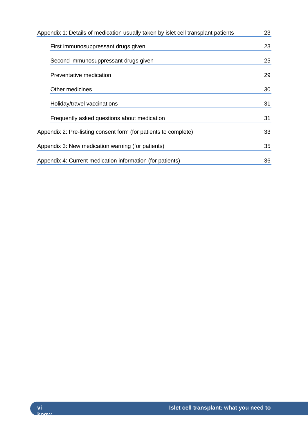| Appendix 1: Details of medication usually taken by islet cell transplant patients |    |
|-----------------------------------------------------------------------------------|----|
| First immunosuppressant drugs given                                               | 23 |
| Second immunosuppressant drugs given                                              | 25 |
| Preventative medication                                                           | 29 |
| Other medicines                                                                   | 30 |
| Holiday/travel vaccinations                                                       | 31 |
| Frequently asked questions about medication                                       | 31 |
| Appendix 2: Pre-listing consent form (for patients to complete)                   |    |
| Appendix 3: New medication warning (for patients)                                 | 35 |
| Appendix 4: Current medication information (for patients)                         | 36 |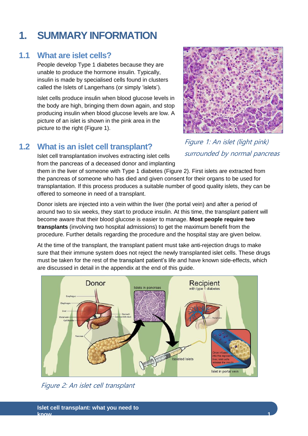# **Islet cell transplant: what you need to**

Figure 2: An islet cell transplant

# <span id="page-6-0"></span>**1. SUMMARY INFORMATION**

# <span id="page-6-1"></span>**1.1 What are islet cells?**

People develop Type 1 diabetes because they are unable to produce the hormone insulin. Typically, insulin is made by specialised cells found in clusters called the Islets of Langerhans (or simply 'islets').

Islet cells produce insulin when blood glucose levels in the body are high, bringing them down again, and stop producing insulin when blood glucose levels are low. A picture of an islet is shown in the pink area in the picture to the right (Figure 1).

# <span id="page-6-2"></span>**1.2 What is an islet cell transplant?**

Islet cell transplantation involves extracting islet cells from the pancreas of a deceased donor and implanting Figure 1: An islet (light pink) surrounded by normal pancreas

them in the liver of someone with Type 1 diabetes (Figure 2). First islets are extracted from the pancreas of someone who has died and given consent for their organs to be used for transplantation. If this process produces a suitable number of good quality islets, they can be offered to someone in need of a transplant.

Donor islets are injected into a vein within the liver (the portal vein) and after a period of around two to six weeks, they start to produce insulin. At this time, the transplant patient will become aware that their blood glucose is easier to manage. **Most people require two transplants** (involving two hospital admissions) to get the maximum benefit from the procedure. Further details regarding the procedure and the hospital stay are given below.

At the time of the transplant, the transplant patient must take anti-rejection drugs to make sure that their immune system does not reject the newly transplanted islet cells. These drugs must be taken for the rest of the transplant patient's life and have known side-effects, which are discussed in detail in the appendix at the end of this guide.

Recipient<br>with type 1 diabetes Donor slets in pancre solated Islets Islet in portal vein



**know 1**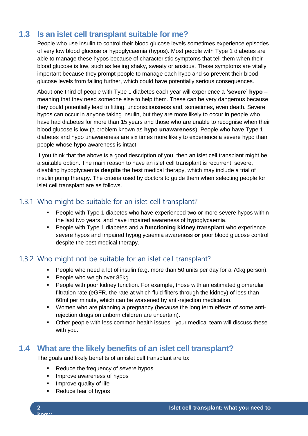# <span id="page-7-0"></span>**1.3 Is an islet cell transplant suitable for me?**

People who use insulin to control their blood glucose levels sometimes experience episodes of very low blood glucose or hypoglycaemia (hypos). Most people with Type 1 diabetes are able to manage these hypos because of characteristic symptoms that tell them when their blood glucose is low, such as feeling shaky, sweaty or anxious. These symptoms are vitally important because they prompt people to manage each hypo and so prevent their blood glucose levels from falling further, which could have potentially serious consequences.

About one third of people with Type 1 diabetes each year will experience a **'severe' hypo** – meaning that they need someone else to help them. These can be very dangerous because they could potentially lead to fitting, unconsciousness and, sometimes, even death. Severe hypos can occur in anyone taking insulin, but they are more likely to occur in people who have had diabetes for more than 15 years and those who are unable to recognise when their blood glucose is low (a problem known as **hypo unawareness**). People who have Type 1 diabetes and hypo unawareness are six times more likely to experience a severe hypo than people whose hypo awareness is intact.

If you think that the above is a good description of you, then an islet cell transplant might be a suitable option. The main reason to have an islet cell transplant is recurrent, severe, disabling hypoglycaemia **despite** the best medical therapy, which may include a trial of insulin pump therapy. The criteria used by doctors to guide them when selecting people for islet cell transplant are as follows.

## 1.3.1 Who might be suitable for an islet cell transplant?

- People with Type 1 diabetes who have experienced two or more severe hypos within the last two years, and have impaired awareness of hypoglycaemia.
- People with Type 1 diabetes and a **functioning kidney transplant** who experience severe hypos and impaired hypoglycaemia awareness **or** poor blood glucose control despite the best medical therapy.

#### 1.3.2 Who might not be suitable for an islet cell transplant?

- People who need a lot of insulin (e.g. more than 50 units per day for a 70kg person).
- **People who weigh over 85kg.**
- **People with poor kidney function. For example, those with an estimated glomerular** filtration rate (eGFR, the rate at which fluid filters through the kidney) of less than 60ml per minute, which can be worsened by anti-rejection medication.
- Women who are planning a pregnancy (because the long term effects of some antirejection drugs on unborn children are uncertain).
- Other people with less common health issues your medical team will discuss these with you.

# <span id="page-7-1"></span>**1.4 What are the likely benefits of an islet cell transplant?**

The goals and likely benefits of an islet cell transplant are to:

- Reduce the frequency of severe hypos
- **IMPROVE AWARENESS of hypos**
- **IMPROVE quality of life**
- Reduce fear of hypos

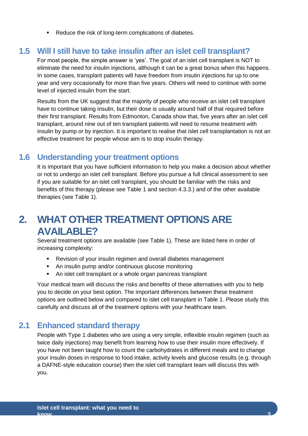Reduce the risk of long-term complications of diabetes.

#### <span id="page-8-0"></span>**1.5 Will I still have to take insulin after an islet cell transplant?**

For most people, the simple answer is 'yes'. The goal of an islet cell transplant is NOT to eliminate the need for insulin injections, although it can be a great bonus when this happens. In some cases, transplant patients will have freedom from insulin injections for up to one year and very occasionally for more than five years. Others will need to continue with some level of injected insulin from the start.

Results from the UK suggest that the majority of people who receive an islet cell transplant have to continue taking insulin, but their dose is usually around half of that required before their first transplant. Results from Edmonton, Canada show that, five years after an islet cell transplant, around nine out of ten transplant patients will need to resume treatment with insulin by pump or by injection. It is important to realise that islet cell transplantation is not an effective treatment for people whose aim is to stop insulin therapy.

## <span id="page-8-1"></span>**1.6 Understanding your treatment options**

It is important that you have sufficient information to help you make a decision about whether or not to undergo an islet cell transplant. Before you pursue a full clinical assessment to see if you are suitable for an islet cell transplant, you should be familiar with the risks and benefits of this therapy (please see Table 1 and section 4.3.3.) and of the other available therapies (see Table 1).

# <span id="page-8-2"></span>**2. WHAT OTHER TREATMENT OPTIONS ARE AVAILABLE?**

Several treatment options are available (see Table 1). These are listed here in order of increasing complexity:

- Revision of your insulin regimen and overall diabetes management
- An insulin pump and/or continuous glucose monitoring
- An islet cell transplant or a whole organ pancreas transplant

Your medical team will discuss the risks and benefits of these alternatives with you to help you to decide on your best option. The important differences between these treatment options are outlined below and compared to islet cell transplant in Table 1. Please study this carefully and discuss all of the treatment options with your healthcare team.

# <span id="page-8-3"></span>**2.1 Enhanced standard therapy**

People with Type 1 diabetes who are using a very simple, inflexible insulin regimen (such as twice daily injections) may benefit from learning how to use their insulin more effectively. If you have not been taught how to count the carbohydrates in different meals and to change your insulin doses in response to food intake, activity levels and glucose results (e.g. through a DAFNE-style education course) then the islet cell transplant team will discuss this with you.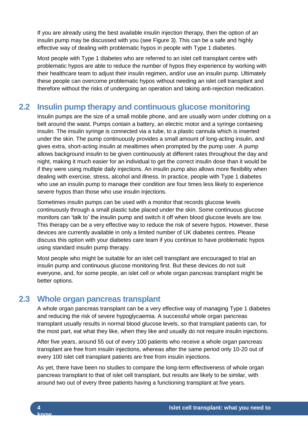If you are already using the best available insulin injection therapy, then the option of an insulin pump may be discussed with you (see Figure 3). This can be a safe and highly effective way of dealing with problematic hypos in people with Type 1 diabetes.

Most people with Type 1 diabetes who are referred to an islet cell transplant centre with problematic hypos are able to reduce the number of hypos they experience by working with their healthcare team to adjust their insulin regimen, and/or use an insulin pump. Ultimately these people can overcome problematic hypos without needing an islet cell transplant and therefore without the risks of undergoing an operation and taking anti-rejection medication.

# <span id="page-9-0"></span>**2.2 Insulin pump therapy and continuous glucose monitoring**

Insulin pumps are the size of a small mobile phone, and are usually worn under clothing on a belt around the waist. Pumps contain a battery, an electric motor and a syringe containing insulin. The insulin syringe is connected via a tube, to a plastic cannula which is inserted under the skin. The pump continuously provides a small amount of long-acting insulin, and gives extra, short-acting insulin at mealtimes when prompted by the pump user. A pump allows background insulin to be given continuously at different rates throughout the day and night, making it much easier for an individual to get the correct insulin dose than it would be if they were using multiple daily injections. An insulin pump also allows more flexibility when dealing with exercise, stress, alcohol and illness. In practice, people with Type 1 diabetes who use an insulin pump to manage their condition are four times less likely to experience severe hypos than those who use insulin injections.

Sometimes insulin pumps can be used with a monitor that records glucose levels continuously through a small plastic tube placed under the skin. Some continuous glucose monitors can 'talk to' the insulin pump and switch it off when blood glucose levels are low. This therapy can be a very effective way to reduce the risk of severe hypos. However, these devices are currently available in only a limited number of UK diabetes centres. Please discuss this option with your diabetes care team if you continue to have problematic hypos using standard insulin pump therapy.

Most people who might be suitable for an islet cell transplant are encouraged to trial an insulin pump and continuous glucose monitoring first. But these devices do not suit everyone, and, for some people, an islet cell or whole organ pancreas transplant might be better options.

# <span id="page-9-1"></span>**2.3 Whole organ pancreas transplant**

A whole organ pancreas transplant can be a very effective way of managing Type 1 diabetes and reducing the risk of severe hypoglycaemia. A successful whole organ pancreas transplant usually results in normal blood glucose levels, so that transplant patients can, for the most part, eat what they like, when they like and usually do not require insulin injections.

After five years, around 55 out of every 100 patients who receive a whole organ pancreas transplant are free from insulin injections, whereas after the same period only 10-20 out of every 100 islet cell transplant patients are free from insulin injections.

As yet, there have been no studies to compare the long-term effectiveness of whole organ pancreas transplant to that of islet cell transplant, but results are likely to be similar, with around two out of every three patients having a functioning transplant at five years.

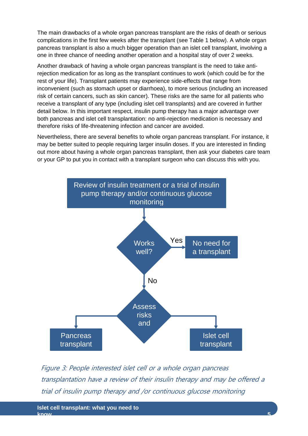The main drawbacks of a whole organ pancreas transplant are the risks of death or serious complications in the first few weeks after the transplant (see Table 1 below). A whole organ pancreas transplant is also a much bigger operation than an islet cell transplant, involving a one in three chance of needing another operation and a hospital stay of over 2 weeks.

Another drawback of having a whole organ pancreas transplant is the need to take antirejection medication for as long as the transplant continues to work (which could be for the rest of your life). Transplant patients may experience side-effects that range from inconvenient (such as stomach upset or diarrhoea), to more serious (including an increased risk of certain cancers, such as skin cancer). These risks are the same for all patients who receive a transplant of any type (including islet cell transplants) and are covered in further detail below. In this important respect, insulin pump therapy has a major advantage over both pancreas and islet cell transplantation: no anti-rejection medication is necessary and therefore risks of life-threatening infection and cancer are avoided.

Nevertheless, there are several benefits to whole organ pancreas transplant. For instance, it may be better suited to people requiring larger insulin doses. If you are interested in finding out more about having a whole organ pancreas transplant, then ask your diabetes care team or your GP to put you in contact with a transplant surgeon who can discuss this with you.



Figure 3: People interested islet cell or a whole organ pancreas transplantation have a review of their insulin therapy and may be offered a trial of insulin pump therapy and /or continuous glucose monitoring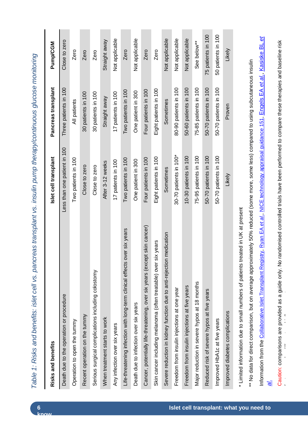| Risks and benefits                                                                   | Islet cell transplant        | Pancreas transplant   | <b>Pump/CGM</b>    |
|--------------------------------------------------------------------------------------|------------------------------|-----------------------|--------------------|
| Death due to the operation or procedure                                              | Less than one patient in 100 | Three patients in 100 | Close to zero      |
| Operation to open the tummy                                                          | Two patients in 100          | All patients          | Zero               |
| Recent operation on the tummy                                                        | Close to zero                | 30 patients in 100    | Zero               |
| Serious surgical complications including colostomy                                   | Close to zero                | 30 patients in 100    | Zero               |
| When treatment starts to work                                                        | After 3-12 weeks             | Straight away         | Straight away      |
| Any infection over six years                                                         | 17 patients in 100           | 17 patients in 100    | Not applicable     |
| Life-threatening infection with long-term clinical effects over six years            | Two patients in 100          | Two patients in 100   | Zero               |
| Death due to infection over six years                                                | One patient in 300           | One patient in 300    | Not applicable     |
| Cancer, potentially life-threatening, over six years (except skin cancer)            | Four patients in 100         | Four patients in 100  | Zero               |
| six years<br>Skin cancer including melanoma (often treatable) over                   | Eight patients in 100        | Eight patients in 100 | Zero               |
| Severe reduction in kidney function due to anti-rejection medication                 | Sometimes                    | Sometimes             | Not applicable     |
| Freedom from insulin injections at one year                                          | 30-70 patients in 100*       | 80-90 patients in 100 | Not applicable     |
| Freedom from insulin injections at five years                                        | 10-30 patients in 100        | 50-60 patients in 100 | Not applicable     |
| Major reduction in severe hypos at 18 months                                         | 75-95 patients in 100        | 75-85 patients in 100 | See below**        |
| Reduced risk of severe hypos at five years                                           | 50-70 patients in 100        | 50-70 patients in 100 | 75 patients in 100 |
| Improved HbA1c at five years                                                         | 50-70 patients in 100        | 50-70 patients in 100 | 50 patients in 100 |
| Improved diabetes complications                                                      | Likely                       | Proven                | Likely             |
| treated in UK at present<br>* Limited information due to small numbers of patients t |                              |                       |                    |

Table 1: Risks and benefits: islet cell vs. pancreas transplant vs. insulin pump therapy/continuous glucose monitoring *Table 1: Risks and benefits: islet cell vs. pancreas transplant vs. insulin pump therapy/continuous glucose monitoring*

Information from the [Collaborative Islet Transplant Registry,](http://www.citiregistry.org/) [Ryan EA](http://www.ncbi.nlm.nih.gov/pubmed/15983207) *et al*., [NICE technology appraisal guidance 151,](http://www.nice.org.uk/nicemedia/live/12014/41300/41300.pdf) [Engels EA](http://www.ncbi.nlm.nih.gov/pmc/articles/PMC3310893/?tool=pubmed) *et al*., [Kasiske BL](http://www.ncbi.nlm.nih.gov/pubmed/15147424) *et*  Information from the Collaborative Islet Transplant Registry, Ryan EA et al. NICE technology appraisal guidance 151, Engels EA et al. Kasiske BL et \*\* No data for direct comparison, but on average approximately 50% reduced (some more, some less) compared to using subcutaneous insulin \*\* No data for direct comparison, but on average approximately 50% reduced (some more, some less) compared to using subcutaneous insulin *[al](http://www.ncbi.nlm.nih.gov/pubmed/15147424)*.

Caution: comparisons are provided as a guide only. No randomised controlled trials have been performed to compare these therapies and baseline risk Caution: comparisons are provided as a guide only. No randomised controlled trials have been performed to compare these therapies and baseline risk factors may be different and influence outcome.  $\ddot{\phantom{a}}$ 

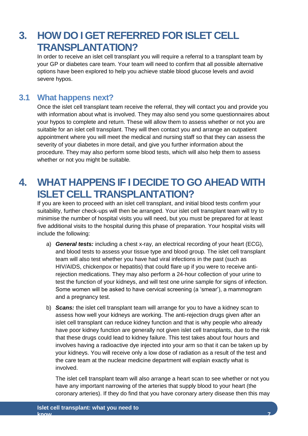# <span id="page-12-0"></span>**3. HOW DO I GET REFERRED FOR ISLET CELL TRANSPLANTATION?**

In order to receive an islet cell transplant you will require a referral to a transplant team by your GP or diabetes care team. Your team will need to confirm that all possible alternative options have been explored to help you achieve stable blood glucose levels and avoid severe hypos.

## <span id="page-12-1"></span>**3.1 What happens next?**

Once the islet cell transplant team receive the referral, they will contact you and provide you with information about what is involved. They may also send you some questionnaires about your hypos to complete and return. These will allow them to assess whether or not you are suitable for an islet cell transplant. They will then contact you and arrange an outpatient appointment where you will meet the medical and nursing staff so that they can assess the severity of your diabetes in more detail, and give you further information about the procedure. They may also perform some blood tests, which will also help them to assess whether or not you might be suitable.

# <span id="page-12-2"></span>**4. WHAT HAPPENS IF I DECIDE TO GO AHEAD WITH ISLET CELL TRANSPLANTATION?**

If you are keen to proceed with an islet cell transplant, and initial blood tests confirm your suitability, further check-ups will then be arranged. Your islet cell transplant team will try to minimise the number of hospital visits you will need, but you must be prepared for at least five additional visits to the hospital during this phase of preparation. Your hospital visits will include the following:

- a) *General tests:* including a chest x-ray, an electrical recording of your heart (ECG), and blood tests to assess your tissue type and blood group. The islet cell transplant team will also test whether you have had viral infections in the past (such as HIV/AIDS, chickenpox or hepatitis) that could flare up if you were to receive antirejection medications. They may also perform a 24-hour collection of your urine to test the function of your kidneys, and will test one urine sample for signs of infection. Some women will be asked to have cervical screening (a 'smear'), a mammogram and a pregnancy test.
- b) *Scans:* the islet cell transplant team will arrange for you to have a kidney scan to assess how well your kidneys are working. The anti-rejection drugs given after an islet cell transplant can reduce kidney function and that is why people who already have poor kidney function are generally not given islet cell transplants, due to the risk that these drugs could lead to kidney failure. This test takes about four hours and involves having a radioactive dye injected into your arm so that it can be taken up by your kidneys. You will receive only a low dose of radiation as a result of the test and the care team at the nuclear medicine department will explain exactly what is involved.

The islet cell transplant team will also arrange a heart scan to see whether or not you have any important narrowing of the arteries that supply blood to your heart (the coronary arteries). If they do find that you have coronary artery disease then this may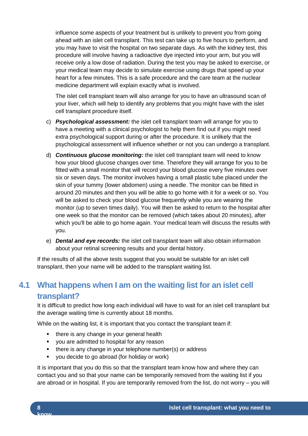influence some aspects of your treatment but is unlikely to prevent you from going ahead with an islet cell transplant. This test can take up to five hours to perform, and you may have to visit the hospital on two separate days. As with the kidney test, this procedure will involve having a radioactive dye injected into your arm, but you will receive only a low dose of radiation. During the test you may be asked to exercise, or your medical team may decide to simulate exercise using drugs that speed up your heart for a few minutes. This is a safe procedure and the care team at the nuclear medicine department will explain exactly what is involved.

The islet cell transplant team will also arrange for you to have an ultrasound scan of your liver, which will help to identify any problems that you might have with the islet cell transplant procedure itself.

- c) *Psychological assessment:* the islet cell transplant team will arrange for you to have a meeting with a clinical psychologist to help them find out if you might need extra psychological support during or after the procedure. It is unlikely that the psychological assessment will influence whether or not you can undergo a transplant.
- d) *Continuous glucose monitoring:* the islet cell transplant team will need to know how your blood glucose changes over time. Therefore they will arrange for you to be fitted with a small monitor that will record your blood glucose every five minutes over six or seven days. The monitor involves having a small plastic tube placed under the skin of your tummy (lower abdomen) using a needle. The monitor can be fitted in around 20 minutes and then you will be able to go home with it for a week or so. You will be asked to check your blood glucose frequently while you are wearing the monitor (up to seven times daily). You will then be asked to return to the hospital after one week so that the monitor can be removed (which takes about 20 minutes), after which you'll be able to go home again. Your medical team will discuss the results with you.
- e) *Dental and eye records:* the islet cell transplant team will also obtain information about your retinal screening results and your dental history.

If the results of all the above tests suggest that you would be suitable for an islet cell transplant, then your name will be added to the transplant waiting list.

# <span id="page-13-0"></span>**4.1 What happens when I am on the waiting list for an islet cell transplant?**

It is difficult to predict how long each individual will have to wait for an islet cell transplant but the average waiting time is currently about 18 months.

While on the waiting list, it is important that you contact the transplant team if:

- there is any change in your general health
- you are admitted to hospital for any reason
- **there is any change in your telephone number(s) or address**
- you decide to go abroad (for holiday or work)

It is important that you do this so that the transplant team know how and where they can contact you and so that your name can be temporarily removed from the waiting list if you are abroad or in hospital. If you are temporarily removed from the list, do not worry – you will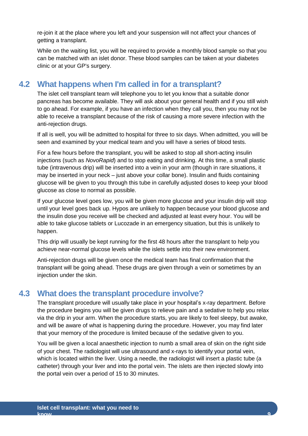re-join it at the place where you left and your suspension will not affect your chances of getting a transplant.

While on the waiting list, you will be required to provide a monthly blood sample so that you can be matched with an islet donor. These blood samples can be taken at your diabetes clinic or at your GP's surgery.

## <span id="page-14-0"></span>**4.2 What happens when I'm called in for a transplant?**

The islet cell transplant team will telephone you to let you know that a suitable donor pancreas has become available. They will ask about your general health and if you still wish to go ahead. For example, if you have an infection when they call you, then you may not be able to receive a transplant because of the risk of causing a more severe infection with the anti-rejection drugs.

If all is well, you will be admitted to hospital for three to six days. When admitted, you will be seen and examined by your medical team and you will have a series of blood tests.

For a few hours before the transplant, you will be asked to stop all short-acting insulin injections (such as *NovoRapid*) and to stop eating and drinking. At this time, a small plastic tube (intravenous drip) will be inserted into a vein in your arm (though in rare situations, it may be inserted in your neck – just above your collar bone). Insulin and fluids containing glucose will be given to you through this tube in carefully adjusted doses to keep your blood glucose as close to normal as possible.

If your glucose level goes low, you will be given more glucose and your insulin drip will stop until your level goes back up. Hypos are unlikely to happen because your blood glucose and the insulin dose you receive will be checked and adjusted at least every hour. You will be able to take glucose tablets or Lucozade in an emergency situation, but this is unlikely to happen.

This drip will usually be kept running for the first 48 hours after the transplant to help you achieve near-normal glucose levels while the islets settle into their new environment.

Anti-rejection drugs will be given once the medical team has final confirmation that the transplant will be going ahead. These drugs are given through a vein or sometimes by an injection under the skin.

# <span id="page-14-1"></span>**4.3 What does the transplant procedure involve?**

The transplant procedure will usually take place in your hospital's x-ray department. Before the procedure begins you will be given drugs to relieve pain and a sedative to help you relax via the drip in your arm. When the procedure starts, you are likely to feel sleepy, but awake, and will be aware of what is happening during the procedure. However, you may find later that your memory of the procedure is limited because of the sedative given to you.

You will be given a local anaesthetic injection to numb a small area of skin on the right side of your chest. The radiologist will use ultrasound and x-rays to identify your portal vein, which is located within the liver. Using a needle, the radiologist will insert a plastic tube (a catheter) through your liver and into the portal vein. The islets are then injected slowly into the portal vein over a period of 15 to 30 minutes.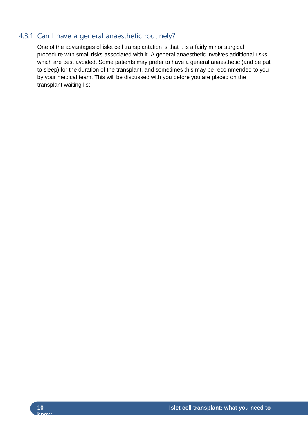## 4.3.1 Can I have a general anaesthetic routinely?

One of the advantages of islet cell transplantation is that it is a fairly minor surgical procedure with small risks associated with it. A general anaesthetic involves additional risks, which are best avoided. Some patients may prefer to have a general anaesthetic (and be put to sleep) for the duration of the transplant, and sometimes this may be recommended to you by your medical team. This will be discussed with you before you are placed on the transplant waiting list.

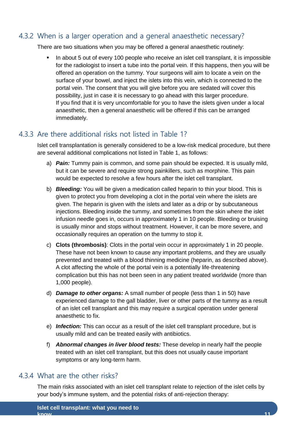#### 4.3.2 When is a larger operation and a general anaesthetic necessary?

There are two situations when you may be offered a general anaesthetic routinely:

 In about 5 out of every 100 people who receive an islet cell transplant, it is impossible for the radiologist to insert a tube into the portal vein. If this happens, then you will be offered an operation on the tummy. Your surgeons will aim to locate a vein on the surface of your bowel, and inject the islets into this vein, which is connected to the portal vein. The consent that you will give before you are sedated will cover this possibility, just in case it is necessary to go ahead with this larger procedure. If you find that it is very uncomfortable for you to have the islets given under a local anaesthetic, then a general anaesthetic will be offered if this can be arranged immediately.

#### 4.3.3 Are there additional risks not listed in Table 1?

Islet cell transplantation is generally considered to be a low-risk medical procedure, but there are several additional complications not listed in Table 1, as follows:

- a) *Pain:* Tummy pain is common, and some pain should be expected. It is usually mild, but it can be severe and require strong painkillers, such as morphine. This pain would be expected to resolve a few hours after the islet cell transplant.
- b) *Bleeding:* You will be given a medication called heparin to thin your blood. This is given to protect you from developing a clot in the portal vein where the islets are given. The heparin is given with the islets and later as a drip or by subcutaneous injections. Bleeding inside the tummy, and sometimes from the skin where the islet infusion needle goes in, occurs in approximately 1 in 10 people. Bleeding or bruising is usually minor and stops without treatment. However, it can be more severe, and occasionally requires an operation on the tummy to stop it.
- c) **Clots (thrombosis)**: Clots in the portal vein occur in approximately 1 in 20 people. These have not been known to cause any important problems, and they are usually prevented and treated with a blood thinning medicine (heparin, as described above). A clot affecting the whole of the portal vein is a potentially life-threatening complication but this has not been seen in any patient treated worldwide (more than 1,000 people).
- d) *Damage to other organs:* A small number of people (less than 1 in 50) have experienced damage to the gall bladder, liver or other parts of the tummy as a result of an islet cell transplant and this may require a surgical operation under general anaesthetic to fix.
- e) *Infection:* This can occur as a result of the islet cell transplant procedure, but is usually mild and can be treated easily with antibiotics.
- f) *Abnormal changes in liver blood tests:* These develop in nearly half the people treated with an islet cell transplant, but this does not usually cause important symptoms or any long-term harm.

#### 4.3.4 What are the other risks?

The main risks associated with an islet cell transplant relate to rejection of the islet cells by your body's immune system, and the potential risks of anti-rejection therapy: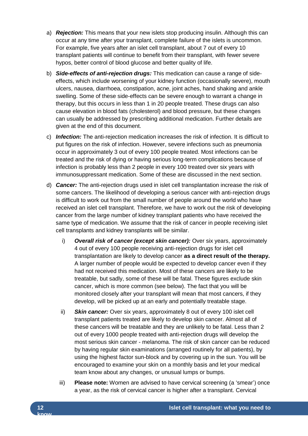- a) *Rejection:* This means that your new islets stop producing insulin. Although this can occur at any time after your transplant, complete failure of the islets is uncommon. For example, five years after an islet cell transplant, about 7 out of every 10 transplant patients will continue to benefit from their transplant, with fewer severe hypos, better control of blood glucose and better quality of life.
- b) *Side-effects of anti-rejection drugs:* This medication can cause a range of sideeffects, which include worsening of your kidney function (occasionally severe), mouth ulcers, nausea, diarrhoea, constipation, acne, joint aches, hand shaking and ankle swelling. Some of these side-effects can be severe enough to warrant a change in therapy, but this occurs in less than 1 in 20 people treated. These drugs can also cause elevation in blood fats (cholesterol) and blood pressure, but these changes can usually be addressed by prescribing additional medication. Further details are given at the end of this document.
- c) *Infection:* The anti-rejection medication increases the risk of infection. It is difficult to put figures on the risk of infection. However, severe infections such as pneumonia occur in approximately 3 out of every 100 people treated. Most infections can be treated and the risk of dying or having serious long-term complications because of infection is probably less than 2 people in every 100 treated over six years with immunosuppressant medication. Some of these are discussed in the next section.
- d) *Cancer:* The anti-rejection drugs used in islet cell transplantation increase the risk of some cancers. The likelihood of developing a serious cancer with anti-rejection drugs is difficult to work out from the small number of people around the world who have received an islet cell transplant. Therefore, we have to work out the risk of developing cancer from the large number of kidney transplant patients who have received the same type of medication. We assume that the risk of cancer in people receiving islet cell transplants and kidney transplants will be similar.
	- i) *Overall risk of cancer (except skin cancer):* Over six years, approximately 4 out of every 100 people receiving anti-rejection drugs for islet cell transplantation are likely to develop cancer **as a direct result of the therapy.**  A larger number of people would be expected to develop cancer even if they had not received this medication. Most of these cancers are likely to be treatable, but sadly, some of these will be fatal. These figures exclude skin cancer, which is more common (see below). The fact that you will be monitored closely after your transplant will mean that most cancers, if they develop, will be picked up at an early and potentially treatable stage.
	- ii) *Skin cancer:* Over six years, approximately 8 out of every 100 islet cell transplant patients treated are likely to develop skin cancer. Almost all of these cancers will be treatable and they are unlikely to be fatal. Less than 2 out of every 1000 people treated with anti-rejection drugs will develop the most serious skin cancer - melanoma. The risk of skin cancer can be reduced by having regular skin examinations (arranged routinely for all patients), by using the highest factor sun-block and by covering up in the sun. You will be encouraged to examine your skin on a monthly basis and let your medical team know about any changes, or unusual lumps or bumps.
	- iii) **Please note:** Women are advised to have cervical screening (a 'smear') once a year, as the risk of cervical cancer is higher after a transplant. Cervical

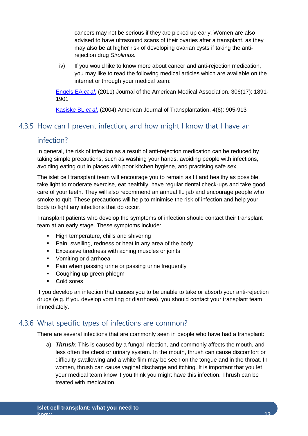cancers may not be serious if they are picked up early. Women are also advised to have ultrasound scans of their ovaries after a transplant, as they may also be at higher risk of developing ovarian cysts if taking the antirejection drug *Sirolimus*.

iv) If you would like to know more about cancer and anti-rejection medication, you may like to read the following medical articles which are available on the internet or through your medical team:

[Engels EA](http://www.ncbi.nlm.nih.gov/pmc/articles/PMC3310893/?tool=pubmed) *et al*. (2011) Journal of the American Medical Association. 306(17): 1891- 1901

[Kasiske BL](http://www.ncbi.nlm.nih.gov/pubmed/15147424) *et al*. (2004) American Journal of Transplantation. 4(6): 905-913

#### 4.3.5 How can I prevent infection, and how might I know that I have an

#### infection?

In general, the risk of infection as a result of anti-rejection medication can be reduced by taking simple precautions, such as washing your hands, avoiding people with infections, avoiding eating out in places with poor kitchen hygiene, and practising safe sex.

The islet cell transplant team will encourage you to remain as fit and healthy as possible, take light to moderate exercise, eat healthily, have regular dental check-ups and take good care of your teeth. They will also recommend an annual flu jab and encourage people who smoke to quit. These precautions will help to minimise the risk of infection and help your body to fight any infections that do occur.

Transplant patients who develop the symptoms of infection should contact their transplant team at an early stage. These symptoms include:

- **High temperature, chills and shivering**
- Pain, swelling, redness or heat in any area of the body
- **Excessive tiredness with aching muscles or joints**
- **•** Vomiting or diarrhoea
- Pain when passing urine or passing urine frequently
- Coughing up green phlegm
- Cold sores

If you develop an infection that causes you to be unable to take or absorb your anti-rejection drugs (e.g. if you develop vomiting or diarrhoea), you should contact your transplant team immediately.

#### 4.3.6 What specific types of infections are common?

There are several infections that are commonly seen in people who have had a transplant:

a) *Thrush:* This is caused by a fungal infection, and commonly affects the mouth, and less often the chest or urinary system. In the mouth, thrush can cause discomfort or difficulty swallowing and a white film may be seen on the tongue and in the throat. In women, thrush can cause vaginal discharge and itching. It is important that you let your medical team know if you think you might have this infection. Thrush can be treated with medication.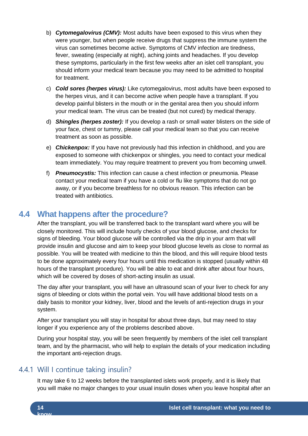- b) *Cytomegalovirus (CMV):* Most adults have been exposed to this virus when they were younger, but when people receive drugs that suppress the immune system the virus can sometimes become active. Symptoms of CMV infection are tiredness, fever, sweating (especially at night), aching joints and headaches. If you develop these symptoms, particularly in the first few weeks after an islet cell transplant, you should inform your medical team because you may need to be admitted to hospital for treatment.
- c) *Cold sores (herpes virus):* Like cytomegalovirus, most adults have been exposed to the herpes virus, and it can become active when people have a transplant. If you develop painful blisters in the mouth or in the genital area then you should inform your medical team. The virus can be treated (but not cured) by medical therapy.
- d) *Shingles (herpes zoster):* If you develop a rash or small water blisters on the side of your face, chest or tummy, please call your medical team so that you can receive treatment as soon as possible.
- e) *Chickenpox:* If you have not previously had this infection in childhood, and you are exposed to someone with chickenpox or shingles, you need to contact your medical team immediately. You may require treatment to prevent you from becoming unwell.
- f) *Pneumocystis:* This infection can cause a chest infection or pneumonia. Please contact your medical team if you have a cold or flu like symptoms that do not go away, or if you become breathless for no obvious reason. This infection can be treated with antibiotics.

# <span id="page-19-0"></span>**4.4 What happens after the procedure?**

After the transplant, you will be transferred back to the transplant ward where you will be closely monitored. This will include hourly checks of your blood glucose, and checks for signs of bleeding. Your blood glucose will be controlled via the drip in your arm that will provide insulin and glucose and aim to keep your blood glucose levels as close to normal as possible. You will be treated with medicine to thin the blood, and this will require blood tests to be done approximately every four hours until this medication is stopped (usually within 48 hours of the transplant procedure). You will be able to eat and drink after about four hours, which will be covered by doses of short-acting insulin as usual.

The day after your transplant, you will have an ultrasound scan of your liver to check for any signs of bleeding or clots within the portal vein. You will have additional blood tests on a daily basis to monitor your kidney, liver, blood and the levels of anti-rejection drugs in your system.

After your transplant you will stay in hospital for about three days, but may need to stay longer if you experience any of the problems described above.

During your hospital stay, you will be seen frequently by members of the islet cell transplant team, and by the pharmacist, who will help to explain the details of your medication including the important anti-rejection drugs.

#### 4.4.1 Will I continue taking insulin?

It may take 6 to 12 weeks before the transplanted islets work properly, and it is likely that you will make no major changes to your usual insulin doses when you leave hospital after an

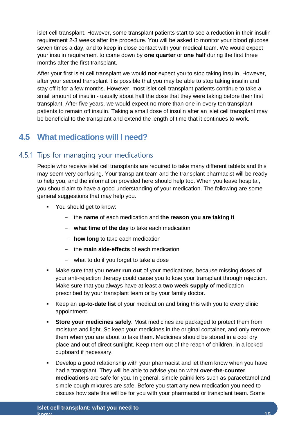islet cell transplant. However, some transplant patients start to see a reduction in their insulin requirement 2-3 weeks after the procedure. You will be asked to monitor your blood glucose seven times a day, and to keep in close contact with your medical team. We would expect your insulin requirement to come down by **one quarter** or **one half** during the first three months after the first transplant.

After your first islet cell transplant we would **not** expect you to stop taking insulin. However, after your second transplant it is possible that you may be able to stop taking insulin and stay off it for a few months. However, most islet cell transplant patients continue to take a small amount of insulin - usually about half the dose that they were taking before their first transplant. After five years, we would expect no more than one in every ten transplant patients to remain off insulin. Taking a small dose of insulin after an islet cell transplant may be beneficial to the transplant and extend the length of time that it continues to work.

# <span id="page-20-0"></span>**4.5 What medications will I need?**

## 4.5.1 Tips for managing your medications

People who receive islet cell transplants are required to take many different tablets and this may seem very confusing. Your transplant team and the transplant pharmacist will be ready to help you, and the information provided here should help too. When you leave hospital, you should aim to have a good understanding of your medication. The following are some general suggestions that may help you.

- You should get to know:
	- the **name** of each medication and **the reason you are taking it**
	- **what time of the day** to take each medication
	- **how long** to take each medication
	- the **main side-effects** of each medication
	- what to do if you forget to take a dose
- Make sure that you **never run out** of your medications, because missing doses of your anti-rejection therapy could cause you to lose your transplant through rejection. Make sure that you always have at least a **two week supply** of medication prescribed by your transplant team or by your family doctor.
- Keep an **up-to-date list** of your medication and bring this with you to every clinic appointment.
- **Store your medicines safely**. Most medicines are packaged to protect them from moisture and light. So keep your medicines in the original container, and only remove them when you are about to take them. Medicines should be stored in a cool dry place and out of direct sunlight. Keep them out of the reach of children, in a locked cupboard if necessary.
- Develop a good relationship with your pharmacist and let them know when you have had a transplant. They will be able to advise you on what **over-the-counter medications** are safe for you. In general, simple painkillers such as paracetamol and simple cough mixtures are safe. Before you start any new medication you need to discuss how safe this will be for you with your pharmacist or transplant team. Some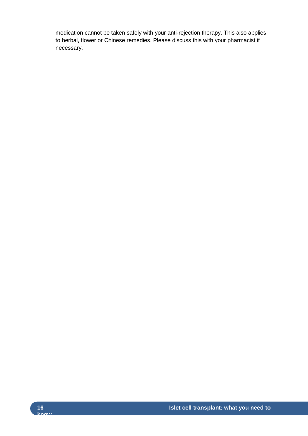medication cannot be taken safely with your anti-rejection therapy. This also applies to herbal, flower or Chinese remedies. Please discuss this with your pharmacist if necessary.

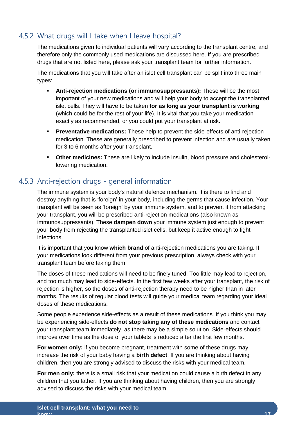# 4.5.2 What drugs will I take when I leave hospital?

The medications given to individual patients will vary according to the transplant centre, and therefore only the commonly used medications are discussed here. If you are prescribed drugs that are not listed here, please ask your transplant team for further information.

The medications that you will take after an islet cell transplant can be split into three main types:

- **Anti-rejection medications (or immunosuppressants):** These will be the most important of your new medications and will help your body to accept the transplanted islet cells. They will have to be taken **for as long as your transplant is working** (which could be for the rest of your life). It is vital that you take your medication exactly as recommended, or you could put your transplant at risk.
- **Preventative medications:** These help to prevent the side-effects of anti-rejection medication. These are generally prescribed to prevent infection and are usually taken for 3 to 6 months after your transplant.
- **Other medicines:** These are likely to include insulin, blood pressure and cholesterollowering medication.

# 4.5.3 Anti-rejection drugs - general information

The immune system is your body's natural defence mechanism. It is there to find and destroy anything that is 'foreign' in your body, including the germs that cause infection. Your transplant will be seen as 'foreign' by your immune system, and to prevent it from attacking your transplant, you will be prescribed anti-rejection medications (also known as immunosuppressants). These **dampen down** your immune system just enough to prevent your body from rejecting the transplanted islet cells, but keep it active enough to fight infections.

It is important that you know **which brand** of anti-rejection medications you are taking. If your medications look different from your previous prescription, always check with your transplant team before taking them.

The doses of these medications will need to be finely tuned. Too little may lead to rejection, and too much may lead to side-effects. In the first few weeks after your transplant, the risk of rejection is higher, so the doses of anti-rejection therapy need to be higher than in later months. The results of regular blood tests will guide your medical team regarding your ideal doses of these medications.

Some people experience side-effects as a result of these medications. If you think you may be experiencing side-effects **do not stop taking any of these medications** and contact your transplant team immediately, as there may be a simple solution. Side-effects should improve over time as the dose of your tablets is reduced after the first few months.

**For women only:** if you become pregnant, treatment with some of these drugs may increase the risk of your baby having a **birth defect**. If you are thinking about having children, then you are strongly advised to discuss the risks with your medical team.

**For men only:** there is a small risk that your medication could cause a birth defect in any children that you father. If you are thinking about having children, then you are strongly advised to discuss the risks with your medical team.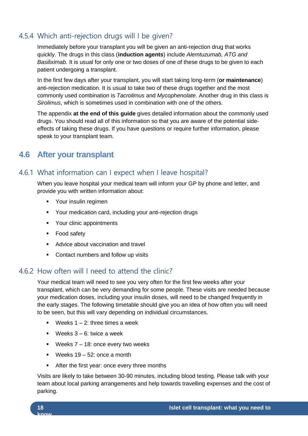# 4.5.4 Which anti-rejection drugs will I be given?

Immediately before your transplant you will be given an anti-rejection drug that works quickly. The drugs in this class (**induction agents**) include *Alemtuzumab, ATG and Basiliximab.* It is usual for only one or two doses of one of these drugs to be given to each patient undergoing a transplant.

In the first few days after your transplant, you will start taking long-term (**or maintenance**) anti-rejection medication. It is usual to take two of these drugs together and the most commonly used combination is *Tacrolimus* and *Mycophenolate*. Another drug in this class is *Sirolimus*, which is sometimes used in combination with one of the others.

The appendix **at the end of this guide** gives detailed information about the commonly used drugs. You should read all of this information so that you are aware of the potential sideeffects of taking these drugs. If you have questions or require further information, please speak to your transplant team.

# <span id="page-23-0"></span>**4.6 After your transplant**

#### 4.6.1 What information can I expect when I leave hospital?

When you leave hospital your medical team will inform your GP by phone and letter, and provide you with written information about:

- **•** Your insulin regimen
- Your medication card, including your anti-rejection drugs
- Your clinic appointments
- Food safety
- **Advice about vaccination and travel**
- Contact numbers and follow up visits

#### 4.6.2 How often will I need to attend the clinic?

Your medical team will need to see you very often for the first few weeks after your transplant, which can be very demanding for some people. These visits are needed because your medication doses, including your insulin doses, will need to be changed frequently in the early stages. The following timetable should give you an idea of how often you will need to be seen, but this will vary depending on individual circumstances.

- Weeks  $1 2$  three times a week
- **Weeks 3 6: twice a week**
- **Weeks**  $7 18$ **: once every two weeks**
- Weeks  $19 52$ : once a month
- After the first year: once every three months

Visits are likely to take between 30-90 minutes, including blood testing. Please talk with your team about local parking arrangements and help towards travelling expenses and the cost of parking.

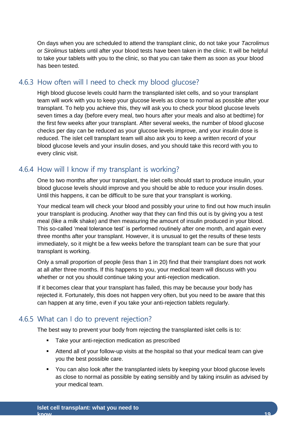On days when you are scheduled to attend the transplant clinic, do not take your *Tacrolimus* or *Sirolimus* tablets until after your blood tests have been taken in the clinic. It will be helpful to take your tablets with you to the clinic, so that you can take them as soon as your blood has been tested.

#### 4.6.3 How often will I need to check my blood glucose?

High blood glucose levels could harm the transplanted islet cells, and so your transplant team will work with you to keep your glucose levels as close to normal as possible after your transplant. To help you achieve this, they will ask you to check your blood glucose levels seven times a day (before every meal, two hours after your meals and also at bedtime) for the first few weeks after your transplant. After several weeks, the number of blood glucose checks per day can be reduced as your glucose levels improve, and your insulin dose is reduced. The islet cell transplant team will also ask you to keep a written record of your blood glucose levels and your insulin doses, and you should take this record with you to every clinic visit.

## 4.6.4 How will I know if my transplant is working?

One to two months after your transplant, the islet cells should start to produce insulin, your blood glucose levels should improve and you should be able to reduce your insulin doses. Until this happens, it can be difficult to be sure that your transplant is working.

Your medical team will check your blood and possibly your urine to find out how much insulin your transplant is producing. Another way that they can find this out is by giving you a test meal (like a milk shake) and then measuring the amount of insulin produced in your blood. This so-called 'meal tolerance test' is performed routinely after one month, and again every three months after your transplant. However, it is unusual to get the results of these tests immediately, so it might be a few weeks before the transplant team can be sure that your transplant is working.

Only a small proportion of people (less than 1 in 20) find that their transplant does not work at all after three months. If this happens to you, your medical team will discuss with you whether or not you should continue taking your anti-rejection medication.

If it becomes clear that your transplant has failed, this may be because your body has rejected it. Fortunately, this does not happen very often, but you need to be aware that this can happen at any time, even if you take your anti-rejection tablets regularly.

#### 4.6.5 What can I do to prevent rejection?

The best way to prevent your body from rejecting the transplanted islet cells is to:

- **Take your anti-rejection medication as prescribed**
- Attend all of your follow-up visits at the hospital so that your medical team can give you the best possible care.
- **You can also look after the transplanted islets by keeping your blood glucose levels** as close to normal as possible by eating sensibly and by taking insulin as advised by your medical team.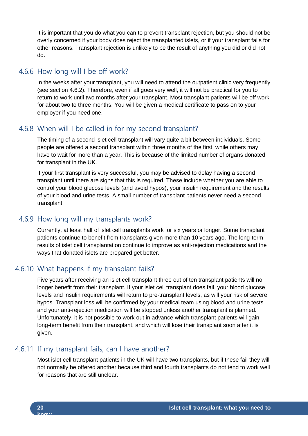It is important that you do what you can to prevent transplant rejection, but you should not be overly concerned if your body does reject the transplanted islets, or if your transplant fails for other reasons. Transplant rejection is unlikely to be the result of anything you did or did not do.

#### 4.6.6 How long will I be off work?

In the weeks after your transplant, you will need to attend the outpatient clinic very frequently (see section 4.6.2). Therefore, even if all goes very well, it will not be practical for you to return to work until two months after your transplant. Most transplant patients will be off work for about two to three months. You will be given a medical certificate to pass on to your employer if you need one.

#### 4.6.8 When will I be called in for my second transplant?

The timing of a second islet cell transplant will vary quite a bit between individuals. Some people are offered a second transplant within three months of the first, while others may have to wait for more than a year. This is because of the limited number of organs donated for transplant in the UK.

If your first transplant is very successful, you may be advised to delay having a second transplant until there are signs that this is required. These include whether you are able to control your blood glucose levels (and avoid hypos), your insulin requirement and the results of your blood and urine tests. A small number of transplant patients never need a second transplant.

#### 4.6.9 How long will my transplants work?

Currently, at least half of islet cell transplants work for six years or longer. Some transplant patients continue to benefit from transplants given more than 10 years ago. The long-term results of islet cell transplantation continue to improve as anti-rejection medications and the ways that donated islets are prepared get better.

#### 4.6.10 What happens if my transplant fails?

Five years after receiving an islet cell transplant three out of ten transplant patients will no longer benefit from their transplant. If your islet cell transplant does fail, your blood glucose levels and insulin requirements will return to pre-transplant levels, as will your risk of severe hypos. Transplant loss will be confirmed by your medical team using blood and urine tests and your anti-rejection medication will be stopped unless another transplant is planned. Unfortunately, it is not possible to work out in advance which transplant patients will gain long-term benefit from their transplant, and which will lose their transplant soon after it is given.

#### 4.6.11 If my transplant fails, can I have another?

Most islet cell transplant patients in the UK will have two transplants, but if these fail they will not normally be offered another because third and fourth transplants do not tend to work well for reasons that are still unclear.

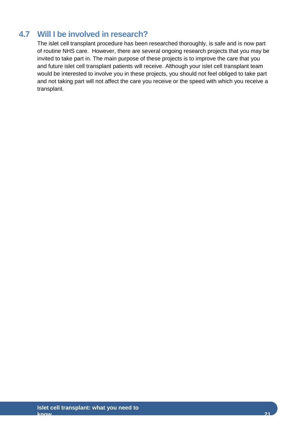# <span id="page-26-0"></span>**4.7 Will I be involved in research?**

The islet cell transplant procedure has been researched thoroughly, is safe and is now part of routine NHS care. However, there are several ongoing research projects that you may be invited to take part in. The main purpose of these projects is to improve the care that you and future islet cell transplant patients will receive. Although your islet cell transplant team would be interested to involve you in these projects, you should not feel obliged to take part and not taking part will not affect the care you receive or the speed with which you receive a transplant.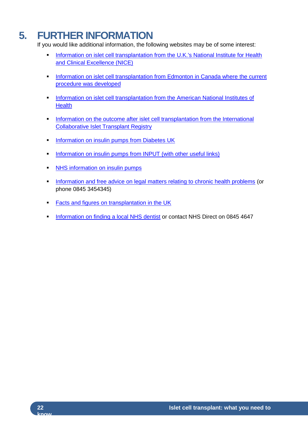# <span id="page-27-0"></span>**5. FURTHER INFORMATION**

If you would like additional information, the following websites may be of some interest:

- Information on islet cell transplantation from the U.K.'s National Institute for Health [and Clinical Excellence \(NICE\)](http://www.nice.org.uk/nicemedia/pdf/IPG257Guidance.pdf)
- [Information on islet cell transplantation from Edmonton in Canada where the current](http://www.islet.ca/procedure) [procedure was developed](http://www.islet.ca/procedure)
- **Information on islet cell transplantation from the American National Institutes of [Health](http://diabetes.niddk.nih.gov/dm/pubs/pancreaticislet)**
- Information on the outcome after islet cell transplantation from the International [Collaborative Islet Transplant Registry](http://www.citregistry.org/)
- **[Information on insulin pumps from Diabetes UK](http://www.diabetes.org.uk/Guide-to-diabetes/Treatments/Insulin/Insulin_pumps)**
- [Information on insulin pumps from INPUT \(with other useful links\)](http://www.input.me.uk/)
- **NHS** information on insulin pumps
- **Information and [free advice on legal matters relating to chronic health problems](http://www.gov.uk/community-legal-advice) (or** phone 0845 3454345)
- **[Facts and figures on transplantation in the UK](http://www.uktransplant.org.uk/)**
- [Information on finding a local NHS dentist](http://www.nhs.uk/NHSEngland/AboutNHSservices/dentists/Pages/find-an-NHS-dentist.aspx) or contact NHS Direct on 0845 4647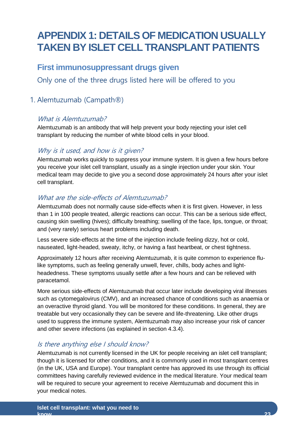# <span id="page-28-0"></span>**APPENDIX 1: DETAILS OF MEDICATION USUALLY TAKEN BY ISLET CELL TRANSPLANT PATIENTS**

# <span id="page-28-1"></span>**First immunosuppressant drugs given**

Only one of the three drugs listed here will be offered to you

# 1. Alemtuzumab (Campath®)

#### What is Alemtuzumab?

Alemtuzumab is an antibody that will help prevent your body rejecting your islet cell transplant by reducing the number of white blood cells in your blood.

#### Why is it used, and how is it given?

Alemtuzumab works quickly to suppress your immune system. It is given a few hours before you receive your islet cell transplant, usually as a single injection under your skin. Your medical team may decide to give you a second dose approximately 24 hours after your islet cell transplant.

#### What are the side-effects of Alemtuzumab?

Alemtuzumab does not normally cause side-effects when it is first given. However, in less than 1 in 100 people treated, allergic reactions can occur. This can be a serious side effect, causing skin swelling (hives); difficulty breathing; swelling of the face, lips, tongue, or throat; and (very rarely) serious heart problems including death.

Less severe side-effects at the time of the injection include feeling dizzy, hot or cold, nauseated, light-headed, sweaty, itchy, or having a fast heartbeat, or chest tightness.

Approximately 12 hours after receiving Alemtuzumab, it is quite common to experience flulike symptoms, such as feeling generally unwell, fever, chills, body aches and lightheadedness. These symptoms usually settle after a few hours and can be relieved with paracetamol.

More serious side-effects of Alemtuzumab that occur later include developing viral illnesses such as cytomegalovirus (CMV), and an increased chance of conditions such as anaemia or an overactive thyroid gland. You will be monitored for these conditions. In general, they are treatable but very occasionally they can be severe and life-threatening. Like other drugs used to suppress the immune system, Alemtuzumab may also increase your risk of cancer and other severe infections (as explained in section 4.3.4).

#### Is there anything else I should know?

Alemtuzumab is not currently licensed in the UK for people receiving an islet cell transplant; though it is licensed for other conditions, and it is commonly used in most transplant centres (in the UK, USA and Europe). Your transplant centre has approved its use through its official committees having carefully reviewed evidence in the medical literature. Your medical team will be required to secure your agreement to receive Alemtuzumab and document this in your medical notes.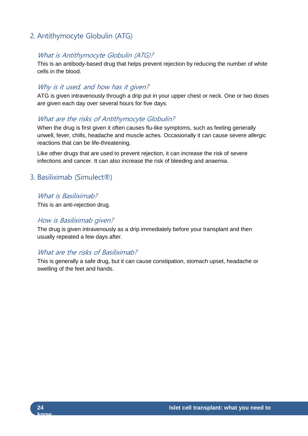# 2. Antithymocyte Globulin (ATG)

#### What is Antithymocyte Globulin (ATG)?

This is an antibody-based drug that helps prevent rejection by reducing the number of white cells in the blood.

#### Why is it used, and how has it given?

ATG is given intravenously through a drip put in your upper chest or neck. One or two doses are given each day over several hours for five days.

#### What are the risks of Antithymocyte Globulin?

When the drug is first given it often causes flu-like symptoms, such as feeling generally unwell, fever, chills, headache and muscle aches. Occasionally it can cause severe allergic reactions that can be life-threatening.

Like other drugs that are used to prevent rejection, it can increase the risk of severe infections and cancer. It can also increase the risk of bleeding and anaemia.

#### 3. Basiliximab (Simulect®)

#### What is Basiliximab?

This is an anti-rejection drug.

#### How is Basiliximab given?

The drug is given intravenously as a drip immediately before your transplant and then usually repeated a few days after.

#### What are the risks of Basiliximab?

This is generally a safe drug, but it can cause constipation, stomach upset, headache or swelling of the feet and hands.

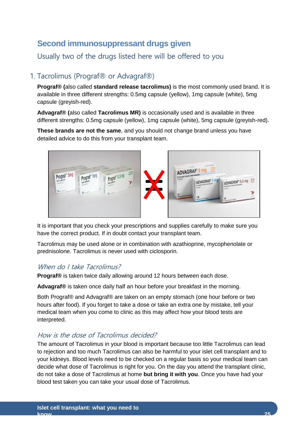# <span id="page-30-0"></span>**Second immunosuppressant drugs given**

Usually two of the drugs listed here will be offered to you

#### 1. Tacrolimus (Prograf® or Advagraf®)

**Prograf® (**also called **standard release tacrolimus)** is the most commonly used brand. It is available in three different strengths: 0.5mg capsule (yellow), 1mg capsule (white), 5mg capsule (greyish-red).

**Advagraf® (**also called **Tacrolimus MR)** is occasionally used and is available in three different strengths: 0.5mg capsule (yellow), 1mg capsule (white), 5mg capsule (greyish-red).

**These brands are not the same**, and you should not change brand unless you have detailed advice to do this from your transplant team.



It is important that you check your prescriptions and supplies carefully to make sure you have the correct product. If in doubt contact your transplant team.

Tacrolimus may be used alone or in combination with azathioprine, mycophenolate or prednisolone. Tacrolimus is never used with ciclosporin.

#### When do I take Tacrolimus?

**Prograf®** is taken twice daily allowing around 12 hours between each dose.

**Advagraf®** is taken once daily half an hour before your breakfast in the morning.

Both Prograf® and Advagraf® are taken on an empty stomach (one hour before or two hours after food). If you forget to take a dose or take an extra one by mistake, tell your medical team when you come to clinic as this may affect how your blood tests are interpreted.

#### How is the dose of Tacrolimus decided?

The amount of Tacrolimus in your blood is important because too little Tacrolimus can lead to rejection and too much Tacrolimus can also be harmful to your islet cell transplant and to your kidneys. Blood levels need to be checked on a regular basis so your medical team can decide what dose of Tacrolimus is right for you. On the day you attend the transplant clinic, do not take a dose of Tacrolimus at home **but bring it with you**. Once you have had your blood test taken you can take your usual dose of Tacrolimus.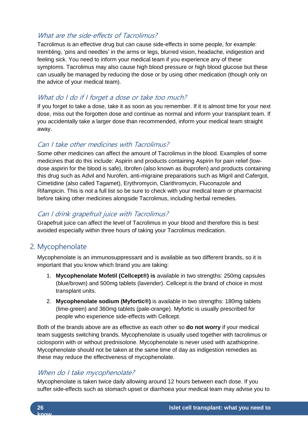#### What are the side-effects of Tacrolimus?

Tacrolimus is an effective drug but can cause side-effects in some people, for example: trembling, 'pins and needles' in the arms or legs, blurred vision, headache, indigestion and feeling sick. You need to inform your medical team if you experience any of these symptoms. Tacrolimus may also cause high blood pressure or high blood glucose but these can usually be managed by reducing the dose or by using other medication (though only on the advice of your medical team).

#### What do I do if I forget a dose or take too much?

If you forget to take a dose, take it as soon as you remember. If it is almost time for your next dose, miss out the forgotten dose and continue as normal and inform your transplant team. If you accidentally take a larger dose than recommended, inform your medical team straight away.

#### Can I take other medicines with Tacrolimus?

Some other medicines can affect the amount of Tacrolimus in the blood. Examples of some medicines that do this include: Aspirin and products containing Aspirin for pain relief (lowdose aspirin for the blood is safe), Ibrofen (also known as ibuprofen) and products containing this drug such as Advil and Nurofen, anti-migraine preparations such as Migril and Cafergot, Cimetidine (also called Tagamet), Erythromycin, Clarithromycin, Fluconazole and Rifampicin. This is not a full list so be sure to check with your medical team or pharmacist before taking other medicines alongside Tacrolimus, including herbal remedies.

#### Can I drink grapefruit juice with Tacrolimus?

Grapefruit juice can affect the level of Tacrolimus in your blood and therefore this is best avoided especially within three hours of taking your Tacrolimus medication.

## 2. Mycophenolate

Mycophenolate is an immunosuppressant and is available as two different brands, so it is important that you know which brand you are taking:

- 1. **Mycophenolate Mofetil (Cellcept®) is** available in two strengths: 250mg capsules (blue/brown) and 500mg tablets (lavender). Cellcept is the brand of choice in most transplant units.
- 2. **Mycophenolate sodium (Myfortic®)** is available in two strengths: 180mg tablets (lime-green) and 360mg tablets (pale-orange). Myfortic is usually prescribed for people who experience side-effects with Cellcept.

Both of the brands above are as effective as each other so **do not worry** if your medical team suggests switching brands. Mycophenolate is usually used together with tacrolimus or ciclosporin with or without prednisolone. Mycophenolate is never used with azathioprine. Mycophenolate should not be taken at the same time of day as indigestion remedies as these may reduce the effectiveness of mycophenolate.

#### When do I take mycophenolate?

Mycophenolate is taken twice daily allowing around 12 hours between each dose. If you suffer side-effects such as stomach upset or diarrhoea your medical team may advise you to

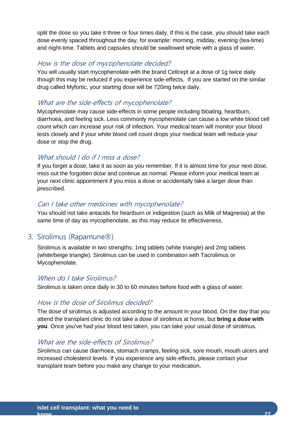split the dose so you take it three or four times daily. If this is the case, you should take each dose evenly spaced throughout the day, for example: morning, midday, evening (tea-time) and night-time. Tablets and capsules should be swallowed whole with a glass of water.

#### How is the dose of mycophenolate decided?

You will usually start mycophenolate with the brand Cellcept at a dose of 1g twice daily though this may be reduced if you experience side-effects. If you are started on the similar drug called Myfortic, your starting dose will be 720mg twice daily.

#### What are the side-effects of mycophenolate?

Mycophenolate may cause side-effects in some people including bloating, heartburn, diarrhoea, and feeling sick. Less commonly mycophenolate can cause a low white blood cell count which can increase your risk of infection. Your medical team will monitor your blood tests closely and if your white blood cell count drops your medical team will reduce your dose or stop the drug.

#### What should I do if I miss a dose?

If you forget a dose, take it as soon as you remember. If it is almost time for your next dose, miss out the forgotten dose and continue as normal. Please inform your medical team at your next clinic appointment if you miss a dose or accidentally take a larger dose than prescribed.

#### Can I take other medicines with mycophenolate?

You should not take antacids for heartburn or indigestion (such as Milk of Magnesia) at the same time of day as mycophenolate, as this may reduce its effectiveness.

#### 3. Sirolimus (Rapamune®)

Sirolimus is available in two strengths: 1mg tablets (white triangle) and 2mg tablets (white/beige triangle). Sirolimus can be used in combination with Tacrolimus or Mycophenolate.

#### When do I take Sirolimus?

Sirolimus is taken once daily in 30 to 60 minutes before food with a glass of water.

#### How is the dose of Sirolimus decided?

The dose of sirolimus is adjusted according to the amount in your blood. On the day that you attend the transplant clinic do not take a dose of sirolimus at home, but **bring a dose with you**. Once you've had your blood test taken, you can take your usual dose of sirolimus.

#### What are the side-effects of Sirolimus?

Sirolimus can cause diarrhoea, stomach cramps, feeling sick, sore mouth, mouth ulcers and increased cholesterol levels. If you experience any side-effects, please contact your transplant team before you make any change to your medication.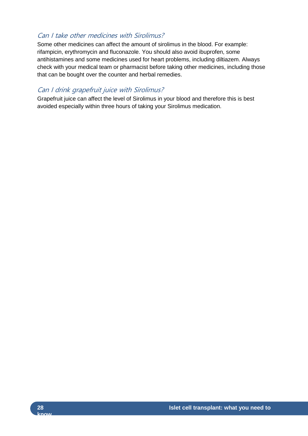#### Can I take other medicines with Sirolimus?

Some other medicines can affect the amount of sirolimus in the blood. For example: rifampicin, erythromycin and fluconazole. You should also avoid ibuprofen, some antihistamines and some medicines used for heart problems, including diltiazem. Always check with your medical team or pharmacist before taking other medicines, including those that can be bought over the counter and herbal remedies.

#### Can I drink grapefruit juice with Sirolimus?

Grapefruit juice can affect the level of Sirolimus in your blood and therefore this is best avoided especially within three hours of taking your Sirolimus medication.

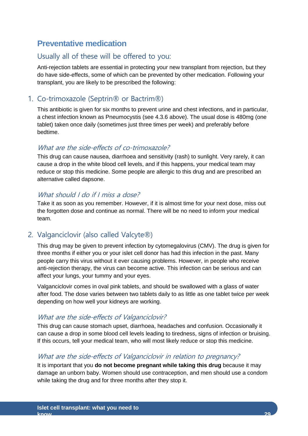# <span id="page-34-0"></span>**Preventative medication**

#### Usually all of these will be offered to you:

Anti-rejection tablets are essential in protecting your new transplant from rejection, but they do have side-effects, some of which can be prevented by other medication. Following your transplant, you are likely to be prescribed the following:

#### 1. Co-trimoxazole (Septrin® or Bactrim®)

This antibiotic is given for six months to prevent urine and chest infections, and in particular, a chest infection known as Pneumocystis (see 4.3.6 above). The usual dose is 480mg (one tablet) taken once daily (sometimes just three times per week) and preferably before bedtime.

#### What are the side-effects of co-trimoxazole?

This drug can cause nausea, diarrhoea and sensitivity (rash) to sunlight. Very rarely, it can cause a drop in the white blood cell levels, and if this happens, your medical team may reduce or stop this medicine. Some people are allergic to this drug and are prescribed an alternative called dapsone.

#### What should I do if I miss a dose?

Take it as soon as you remember. However, if it is almost time for your next dose, miss out the forgotten dose and continue as normal. There will be no need to inform your medical team.

#### 2. Valganciclovir (also called Valcyte®)

This drug may be given to prevent infection by cytomegalovirus (CMV). The drug is given for three months if either you or your islet cell donor has had this infection in the past. Many people carry this virus without it ever causing problems. However, in people who receive anti-rejection therapy, the virus can become active. This infection can be serious and can affect your lungs, your tummy and your eyes.

Valganciclovir comes in oval pink tablets, and should be swallowed with a glass of water after food. The dose varies between two tablets daily to as little as one tablet twice per week depending on how well your kidneys are working.

#### What are the side-effects of Valganciclovir?

This drug can cause stomach upset, diarrhoea, headaches and confusion. Occasionally it can cause a drop in some blood cell levels leading to tiredness, signs of infection or bruising. If this occurs, tell your medical team, who will most likely reduce or stop this medicine.

#### What are the side-effects of Valganciclovir in relation to pregnancy?

It is important that you **do not become pregnant while taking this drug** because it may damage an unborn baby. Women should use contraception, and men should use a condom while taking the drug and for three months after they stop it.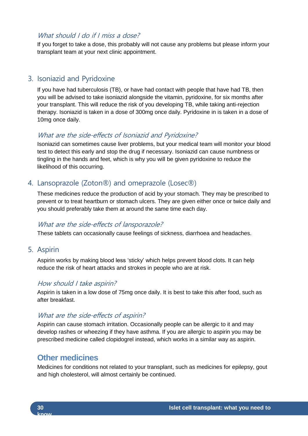#### What should I do if I miss a dose?

If you forget to take a dose, this probably will not cause any problems but please inform your transplant team at your next clinic appointment.

#### 3. Isoniazid and Pyridoxine

If you have had tuberculosis (TB), or have had contact with people that have had TB, then you will be advised to take isoniazid alongside the vitamin, pyridoxine, for six months after your transplant. This will reduce the risk of you developing TB, while taking anti-rejection therapy. Isoniazid is taken in a dose of 300mg once daily. Pyridoxine in is taken in a dose of 10mg once daily.

#### What are the side-effects of Isoniazid and Pyridoxine?

Isoniazid can sometimes cause liver problems, but your medical team will monitor your blood test to detect this early and stop the drug if necessary. Isoniazid can cause numbness or tingling in the hands and feet, which is why you will be given pyridoxine to reduce the likelihood of this occurring.

#### 4. Lansoprazole (Zoton®) and omeprazole (Losec®)

These medicines reduce the production of acid by your stomach. They may be prescribed to prevent or to treat heartburn or stomach ulcers. They are given either once or twice daily and you should preferably take them at around the same time each day.

#### What are the side-effects of lansporazole?

These tablets can occasionally cause feelings of sickness, diarrhoea and headaches.

#### 5. Aspirin

Aspirin works by making blood less 'sticky' which helps prevent blood clots. It can help reduce the risk of heart attacks and strokes in people who are at risk.

#### How should I take aspirin?

Aspirin is taken in a low dose of 75mg once daily. It is best to take this after food, such as after breakfast.

#### What are the side-effects of aspirin?

Aspirin can cause stomach irritation. Occasionally people can be allergic to it and may develop rashes or wheezing if they have asthma. If you are allergic to aspirin you may be prescribed medicine called clopidogrel instead, which works in a similar way as aspirin.

#### <span id="page-35-0"></span>**Other medicines**

Medicines for conditions not related to your transplant, such as medicines for epilepsy, gout and high cholesterol, will almost certainly be continued.

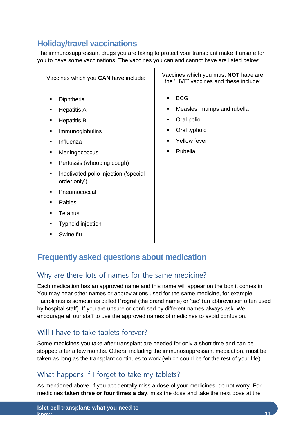# <span id="page-36-0"></span>**Holiday/travel vaccinations**

The immunosuppressant drugs you are taking to protect your transplant make it unsafe for you to have some vaccinations. The vaccines you can and cannot have are listed below:

| Vaccines which you CAN have include:                                                                                                                                                                                                                                                                                                                                                                                                                                                                      | Vaccines which you must <b>NOT</b> have are<br>the 'LIVE' vaccines and these include:                                                                                          |  |
|-----------------------------------------------------------------------------------------------------------------------------------------------------------------------------------------------------------------------------------------------------------------------------------------------------------------------------------------------------------------------------------------------------------------------------------------------------------------------------------------------------------|--------------------------------------------------------------------------------------------------------------------------------------------------------------------------------|--|
| Diphtheria<br>$\blacksquare$<br><b>Hepatitis A</b><br>$\blacksquare$<br><b>Hepatitis B</b><br>$\blacksquare$<br>Immunoglobulins<br>$\blacksquare$<br>Influenza<br>$\blacksquare$<br>Meningococcus<br>٠<br>Pertussis (whooping cough)<br>$\blacksquare$<br>Inactivated polio injection ('special<br>$\blacksquare$<br>order only')<br>Pneumococcal<br>$\blacksquare$<br>Rabies<br>$\blacksquare$<br><b>Tetanus</b><br>$\blacksquare$<br>Typhoid injection<br>$\blacksquare$<br>Swine flu<br>$\blacksquare$ | <b>BCG</b><br>Measles, mumps and rubella<br>$\blacksquare$<br>Oral polio<br>٠<br>Oral typhoid<br>$\blacksquare$<br>Yellow fever<br>$\blacksquare$<br>Rubella<br>$\blacksquare$ |  |

# <span id="page-36-1"></span>**Frequently asked questions about medication**

# Why are there lots of names for the same medicine?

Each medication has an approved name and this name will appear on the box it comes in. You may hear other names or abbreviations used for the same medicine, for example, Tacrolimus is sometimes called Prograf (the brand name) or 'tac' (an abbreviation often used by hospital staff). If you are unsure or confused by different names always ask. We encourage all our staff to use the approved names of medicines to avoid confusion.

#### Will I have to take tablets forever?

Some medicines you take after transplant are needed for only a short time and can be stopped after a few months. Others, including the immunosuppressant medication, must be taken as long as the transplant continues to work (which could be for the rest of your life).

# What happens if I forget to take my tablets?

As mentioned above, if you accidentally miss a dose of your medicines, do not worry. For medicines **taken three or four times a day**, miss the dose and take the next dose at the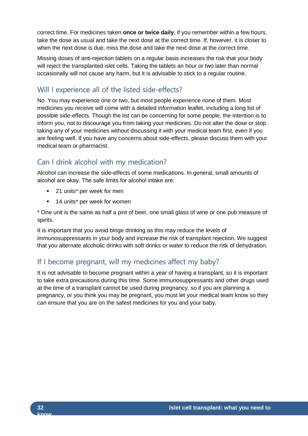correct time. For medicines taken **once or twice daily**, if you remember within a few hours, take the dose as usual and take the next dose at the correct time. If, however, it is closer to when the next dose is due, miss the dose and take the next dose at the correct time.

Missing doses of anti-rejection tablets on a regular basis increases the risk that your body will reject the transplanted islet cells. Taking the tablets an hour or two later than normal occasionally will not cause any harm, but it is advisable to stick to a regular routine.

# Will I experience all of the listed side-effects?

No. You may experience one or two, but most people experience none of them. Most medicines you receive will come with a detailed information leaflet, including a long list of possible side-effects. Though the list can be concerning for some people, the intention is to inform you, not to discourage you from taking your medicines. Do not alter the dose or stop taking any of your medicines without discussing it with your medical team first, even if you are feeling well. If you have any concerns about side-effects, please discuss them with your medical team or pharmacist.

# Can I drink alcohol with my medication?

Alcohol can increase the side-effects of some medications. In general, small amounts of alcohol are okay. The safe limits for alcohol intake are:

- 21 units<sup>\*</sup> per week for men
- 14 units<sup>\*</sup> per week for women

\* One unit is the same as half a pint of beer, one small glass of wine or one pub measure of spirits.

It is important that you avoid binge drinking as this may reduce the levels of immunosuppressants in your body and increase the risk of transplant rejection. We suggest that you alternate alcoholic drinks with soft drinks or water to reduce the risk of dehydration.

# If I become pregnant, will my medicines affect my baby?

It is not advisable to become pregnant within a year of having a transplant, so it is important to take extra precautions during this time. Some immunosuppressants and other drugs used at the time of a transplant cannot be used during pregnancy, so if you are planning a pregnancy, or you think you may be pregnant, you must let your medical team know so they can ensure that you are on the safest medicines for you and your baby.

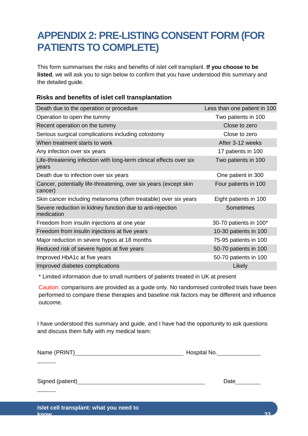# <span id="page-38-0"></span>**APPENDIX 2: PRE-LISTING CONSENT FORM (FOR PATIENTS TO COMPLETE)**

This form summarises the risks and benefits of islet cell transplant. **If you choose to be listed**, we will ask you to sign below to confirm that you have understood this summary and the detailed guide.

#### **Risks and benefits of islet cell transplantation**

| Death due to the operation or procedure                                      | Less than one patient in 100 |
|------------------------------------------------------------------------------|------------------------------|
| Operation to open the tummy                                                  | Two patients in 100          |
| Recent operation on the tummy                                                | Close to zero                |
| Serious surgical complications including colostomy                           | Close to zero                |
| When treatment starts to work                                                | After 3-12 weeks             |
| Any infection over six years                                                 | 17 patients in 100           |
| Life-threatening infection with long-term clinical effects over six<br>years | Two patients in 100          |
| Death due to infection over six years                                        | One patient in 300           |
| Cancer, potentially life-threatening, over six years (except skin<br>cancer) | Four patients in 100         |
| Skin cancer including melanoma (often treatable) over six years              | Eight patients in 100        |
| Severe reduction in kidney function due to anti-rejection<br>medication      | Sometimes                    |
| Freedom from insulin injections at one year                                  | 30-70 patients in 100*       |
| Freedom from insulin injections at five years                                | 10-30 patients in 100        |
| Major reduction in severe hypos at 18 months                                 | 75-95 patients in 100        |
| Reduced risk of severe hypos at five years                                   | 50-70 patients in 100        |
| Improved HbA1c at five years                                                 | 50-70 patients in 100        |
| Improved diabetes complications                                              | Likely                       |

\* Limited information due to small numbers of patients treated in UK at present

Caution: comparisons are provided as a guide only. No randomised controlled trials have been performed to compare these therapies and baseline risk factors may be different and influence outcome.

I have understood this summary and guide, and I have had the opportunity to ask questions and discuss them fully with my medical team:

Name (PRINT) Hospital No.

Signed (patient) Date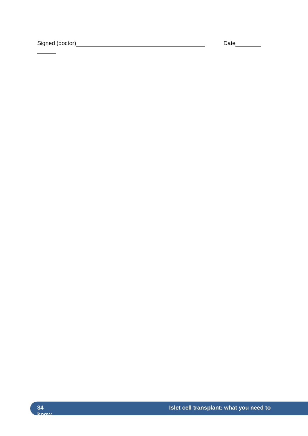Signed (doctor) Date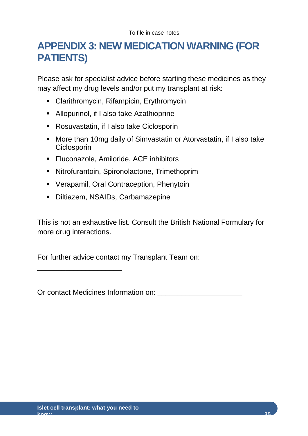# <span id="page-40-0"></span>**APPENDIX 3: NEW MEDICATION WARNING (FOR PATIENTS)**

Please ask for specialist advice before starting these medicines as they may affect my drug levels and/or put my transplant at risk:

- Clarithromycin, Rifampicin, Erythromycin
- Allopurinol, if I also take Azathioprine
- Rosuvastatin, if I also take Ciclosporin
- More than 10mg daily of Simvastatin or Atorvastatin, if I also take **Ciclosporin**
- **Fluconazole, Amiloride, ACE inhibitors**
- Nitrofurantoin, Spironolactone, Trimethoprim
- Verapamil, Oral Contraception, Phenytoin
- Diltiazem, NSAIDs, Carbamazepine

This is not an exhaustive list. Consult the British National Formulary for more drug interactions.

For further advice contact my Transplant Team on:

Or contact Medicines Information on: \_\_\_\_\_\_\_\_\_\_\_\_\_\_\_\_\_\_\_\_\_

\_\_\_\_\_\_\_\_\_\_\_\_\_\_\_\_\_\_\_\_\_